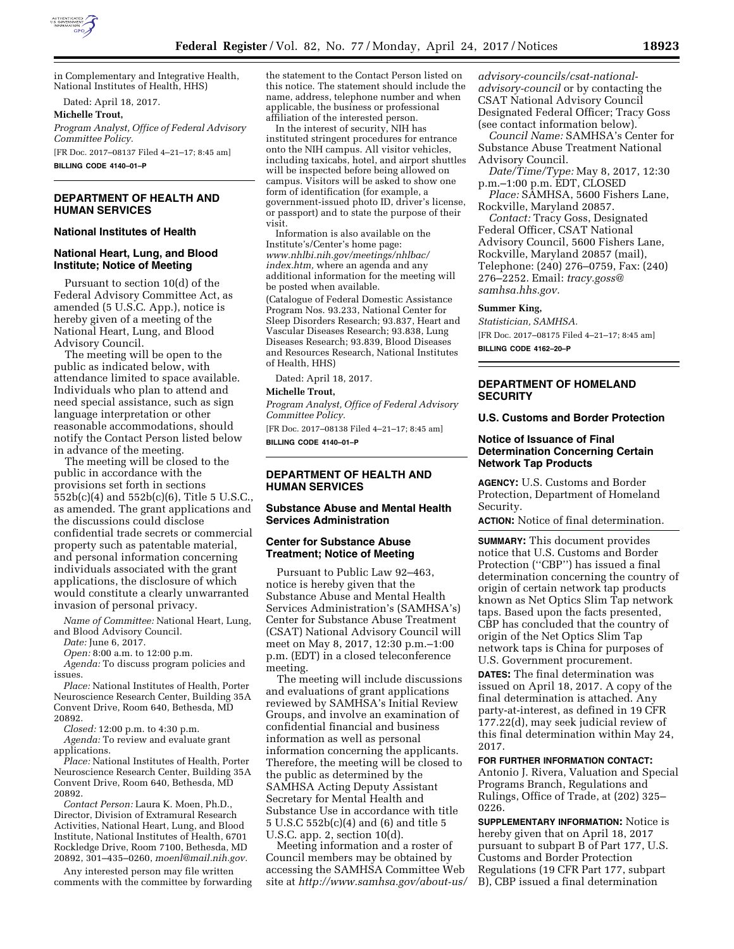

in Complementary and Integrative Health, National Institutes of Health, HHS)

Dated: April 18, 2017.

**Michelle Trout,** 

*Program Analyst, Office of Federal Advisory Committee Policy.* 

[FR Doc. 2017–08137 Filed 4–21–17; 8:45 am] **BILLING CODE 4140–01–P** 

## **DEPARTMENT OF HEALTH AND HUMAN SERVICES**

# **National Institutes of Health**

## **National Heart, Lung, and Blood Institute; Notice of Meeting**

Pursuant to section 10(d) of the Federal Advisory Committee Act, as amended (5 U.S.C. App.), notice is hereby given of a meeting of the National Heart, Lung, and Blood Advisory Council.

The meeting will be open to the public as indicated below, with attendance limited to space available. Individuals who plan to attend and need special assistance, such as sign language interpretation or other reasonable accommodations, should notify the Contact Person listed below in advance of the meeting.

The meeting will be closed to the public in accordance with the provisions set forth in sections 552b(c)(4) and 552b(c)(6), Title 5 U.S.C., as amended. The grant applications and the discussions could disclose confidential trade secrets or commercial property such as patentable material, and personal information concerning individuals associated with the grant applications, the disclosure of which would constitute a clearly unwarranted invasion of personal privacy.

*Name of Committee:* National Heart, Lung, and Blood Advisory Council.

*Date:* June 6, 2017.

*Open:* 8:00 a.m. to 12:00 p.m.

*Agenda:* To discuss program policies and issues.

*Place:* National Institutes of Health, Porter Neuroscience Research Center, Building 35A Convent Drive, Room 640, Bethesda, MD 20892.

*Closed:* 12:00 p.m. to 4:30 p.m.

*Agenda:* To review and evaluate grant applications.

*Place:* National Institutes of Health, Porter Neuroscience Research Center, Building 35A Convent Drive, Room 640, Bethesda, MD 20892.

*Contact Person:* Laura K. Moen, Ph.D., Director, Division of Extramural Research Activities, National Heart, Lung, and Blood Institute, National Institutes of Health, 6701 Rockledge Drive, Room 7100, Bethesda, MD 20892, 301–435–0260, *[moenl@mail.nih.gov.](mailto:moenl@mail.nih.gov)* 

Any interested person may file written comments with the committee by forwarding the statement to the Contact Person listed on this notice. The statement should include the name, address, telephone number and when applicable, the business or professional affiliation of the interested person.

In the interest of security, NIH has instituted stringent procedures for entrance onto the NIH campus. All visitor vehicles, including taxicabs, hotel, and airport shuttles will be inspected before being allowed on campus. Visitors will be asked to show one form of identification (for example, a government-issued photo ID, driver's license, or passport) and to state the purpose of their visit.

Information is also available on the Institute's/Center's home page: *[www.nhlbi.nih.gov/meetings/nhlbac/](http://www.nhlbi.nih.gov/meetings/nhlbac/index.htm) [index.htm,](http://www.nhlbi.nih.gov/meetings/nhlbac/index.htm)* where an agenda and any additional information for the meeting will be posted when available.

(Catalogue of Federal Domestic Assistance Program Nos. 93.233, National Center for Sleep Disorders Research; 93.837, Heart and Vascular Diseases Research; 93.838, Lung Diseases Research; 93.839, Blood Diseases and Resources Research, National Institutes of Health, HHS)

Dated: April 18, 2017.

## **Michelle Trout,**

*Program Analyst, Office of Federal Advisory Committee Policy.* 

[FR Doc. 2017–08138 Filed 4–21–17; 8:45 am] **BILLING CODE 4140–01–P** 

# **DEPARTMENT OF HEALTH AND HUMAN SERVICES**

### **Substance Abuse and Mental Health Services Administration**

# **Center for Substance Abuse Treatment; Notice of Meeting**

Pursuant to Public Law 92–463, notice is hereby given that the Substance Abuse and Mental Health Services Administration's (SAMHSA's) Center for Substance Abuse Treatment (CSAT) National Advisory Council will meet on May 8, 2017, 12:30 p.m.–1:00 p.m. (EDT) in a closed teleconference meeting.

The meeting will include discussions and evaluations of grant applications reviewed by SAMHSA's Initial Review Groups, and involve an examination of confidential financial and business information as well as personal information concerning the applicants. Therefore, the meeting will be closed to the public as determined by the SAMHSA Acting Deputy Assistant Secretary for Mental Health and Substance Use in accordance with title 5 U.S.C 552b(c)(4) and (6) and title 5 U.S.C. app. 2, section 10(d).

Meeting information and a roster of Council members may be obtained by accessing the SAMHSA Committee Web site at *[http://www.samhsa.gov/about-us/](http://www.samhsa.gov/about-us/advisory-councils/csat-national-advisory-council)* 

*[advisory-councils/csat-national](http://www.samhsa.gov/about-us/advisory-councils/csat-national-advisory-council)[advisory-council](http://www.samhsa.gov/about-us/advisory-councils/csat-national-advisory-council)* or by contacting the CSAT National Advisory Council Designated Federal Officer; Tracy Goss (see contact information below).

*Council Name:* SAMHSA's Center for Substance Abuse Treatment National Advisory Council.

*Date/Time/Type:* May 8, 2017, 12:30 p.m.–1:00 p.m. EDT, CLOSED

*Place:* SAMHSA, 5600 Fishers Lane, Rockville, Maryland 20857.

*Contact:* Tracy Goss, Designated Federal Officer, CSAT National Advisory Council, 5600 Fishers Lane, Rockville, Maryland 20857 (mail), Telephone: (240) 276–0759, Fax: (240) 276–2252. Email: *[tracy.goss@](mailto:tracy.goss@samhsa.hhs.gov) [samhsa.hhs.gov.](mailto:tracy.goss@samhsa.hhs.gov)* 

#### **Summer King,**

*Statistician, SAMHSA.*  [FR Doc. 2017–08175 Filed 4–21–17; 8:45 am] **BILLING CODE 4162–20–P** 

### **DEPARTMENT OF HOMELAND SECURITY**

**U.S. Customs and Border Protection** 

### **Notice of Issuance of Final Determination Concerning Certain Network Tap Products**

**AGENCY:** U.S. Customs and Border Protection, Department of Homeland Security.

**ACTION:** Notice of final determination.

**SUMMARY:** This document provides notice that U.S. Customs and Border Protection ("CBP") has issued a final determination concerning the country of origin of certain network tap products known as Net Optics Slim Tap network taps. Based upon the facts presented, CBP has concluded that the country of origin of the Net Optics Slim Tap network taps is China for purposes of U.S. Government procurement.

**DATES:** The final determination was issued on April 18, 2017. A copy of the final determination is attached. Any party-at-interest, as defined in 19 CFR 177.22(d), may seek judicial review of this final determination within May 24, 2017.

## **FOR FURTHER INFORMATION CONTACT:**

Antonio J. Rivera, Valuation and Special Programs Branch, Regulations and Rulings, Office of Trade, at (202) 325– 0226.

**SUPPLEMENTARY INFORMATION:** Notice is hereby given that on April 18, 2017 pursuant to subpart B of Part 177, U.S. Customs and Border Protection Regulations (19 CFR Part 177, subpart B), CBP issued a final determination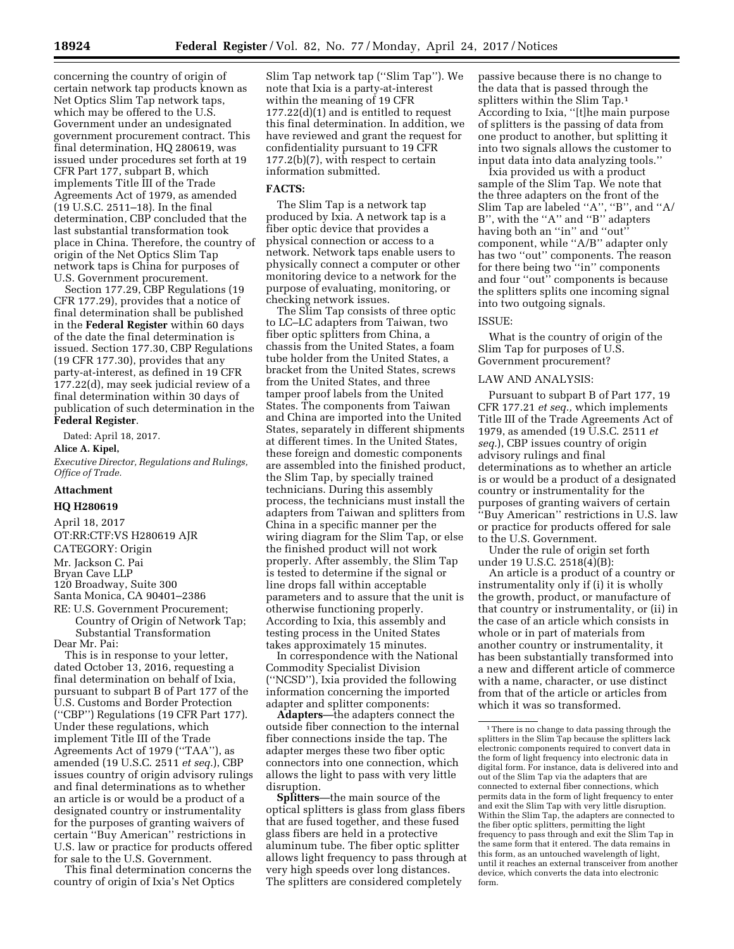concerning the country of origin of certain network tap products known as Net Optics Slim Tap network taps, which may be offered to the U.S. Government under an undesignated government procurement contract. This final determination, HQ 280619, was issued under procedures set forth at 19 CFR Part 177, subpart B, which implements Title III of the Trade Agreements Act of 1979, as amended (19 U.S.C. 2511–18). In the final determination, CBP concluded that the last substantial transformation took place in China. Therefore, the country of origin of the Net Optics Slim Tap network taps is China for purposes of U.S. Government procurement.

Section 177.29, CBP Regulations (19 CFR 177.29), provides that a notice of final determination shall be published in the **Federal Register** within 60 days of the date the final determination is issued. Section 177.30, CBP Regulations (19 CFR 177.30), provides that any party-at-interest, as defined in 19 CFR 177.22(d), may seek judicial review of a final determination within 30 days of publication of such determination in the **Federal Register**.

Dated: April 18, 2017.

**Alice A. Kipel,** 

*Executive Director, Regulations and Rulings, Office of Trade.* 

# **Attachment**

# **HQ H280619**

April 18, 2017 OT:RR:CTF:VS H280619 AJR CATEGORY: Origin Mr. Jackson C. Pai

Bryan Cave LLP

120 Broadway, Suite 300

Santa Monica, CA 90401–2386

RE: U.S. Government Procurement; Country of Origin of Network Tap;

Substantial Transformation Dear Mr. Pai:

This is in response to your letter, dated October 13, 2016, requesting a final determination on behalf of Ixia, pursuant to subpart B of Part 177 of the U.S. Customs and Border Protection (''CBP'') Regulations (19 CFR Part 177). Under these regulations, which implement Title III of the Trade Agreements Act of 1979 (''TAA''), as amended (19 U.S.C. 2511 *et seq.*), CBP issues country of origin advisory rulings and final determinations as to whether an article is or would be a product of a designated country or instrumentality for the purposes of granting waivers of certain ''Buy American'' restrictions in U.S. law or practice for products offered for sale to the U.S. Government.

This final determination concerns the country of origin of Ixia's Net Optics

Slim Tap network tap (''Slim Tap''). We note that Ixia is a party-at-interest within the meaning of 19 CFR 177.22(d)(1) and is entitled to request this final determination. In addition, we have reviewed and grant the request for confidentiality pursuant to 19 CFR 177.2(b)(7), with respect to certain information submitted.

# **FACTS:**

The Slim Tap is a network tap produced by Ixia. A network tap is a fiber optic device that provides a physical connection or access to a network. Network taps enable users to physically connect a computer or other monitoring device to a network for the purpose of evaluating, monitoring, or checking network issues.

The Slim Tap consists of three optic to LC–LC adapters from Taiwan, two fiber optic splitters from China, a chassis from the United States, a foam tube holder from the United States, a bracket from the United States, screws from the United States, and three tamper proof labels from the United States. The components from Taiwan and China are imported into the United States, separately in different shipments at different times. In the United States, these foreign and domestic components are assembled into the finished product, the Slim Tap, by specially trained technicians. During this assembly process, the technicians must install the adapters from Taiwan and splitters from China in a specific manner per the wiring diagram for the Slim Tap, or else the finished product will not work properly. After assembly, the Slim Tap is tested to determine if the signal or line drops fall within acceptable parameters and to assure that the unit is otherwise functioning properly. According to Ixia, this assembly and testing process in the United States takes approximately 15 minutes.

In correspondence with the National Commodity Specialist Division (''NCSD''), Ixia provided the following information concerning the imported adapter and splitter components:

**Adapters**—the adapters connect the outside fiber connection to the internal fiber connections inside the tap. The adapter merges these two fiber optic connectors into one connection, which allows the light to pass with very little disruption.

**Splitters**—the main source of the optical splitters is glass from glass fibers that are fused together, and these fused glass fibers are held in a protective aluminum tube. The fiber optic splitter allows light frequency to pass through at very high speeds over long distances. The splitters are considered completely

passive because there is no change to the data that is passed through the splitters within the Slim Tap.<sup>1</sup> According to Ixia, ''[t]he main purpose of splitters is the passing of data from one product to another, but splitting it into two signals allows the customer to input data into data analyzing tools.''

Ixia provided us with a product sample of the Slim Tap. We note that the three adapters on the front of the Slim Tap are labeled ''A'', ''B'', and ''A/ B'', with the ''A'' and ''B'' adapters having both an "in" and "out" component, while ''A/B'' adapter only has two ''out'' components. The reason for there being two ''in'' components and four ''out'' components is because the splitters splits one incoming signal into two outgoing signals.

### ISSUE:

What is the country of origin of the Slim Tap for purposes of U.S. Government procurement?

### LAW AND ANALYSIS:

Pursuant to subpart B of Part 177, 19 CFR 177.21 *et seq.,* which implements Title III of the Trade Agreements Act of 1979, as amended (19 U.S.C. 2511 *et seq.*), CBP issues country of origin advisory rulings and final determinations as to whether an article is or would be a product of a designated country or instrumentality for the purposes of granting waivers of certain ''Buy American'' restrictions in U.S. law or practice for products offered for sale to the U.S. Government.

Under the rule of origin set forth under 19 U.S.C. 2518(4)(B):

An article is a product of a country or instrumentality only if (i) it is wholly the growth, product, or manufacture of that country or instrumentality, or (ii) in the case of an article which consists in whole or in part of materials from another country or instrumentality, it has been substantially transformed into a new and different article of commerce with a name, character, or use distinct from that of the article or articles from which it was so transformed.

 $^{\rm 1}$  There is no change to data passing through the splitters in the Slim Tap because the splitters lack electronic components required to convert data in the form of light frequency into electronic data in digital form. For instance, data is delivered into and out of the Slim Tap via the adapters that are connected to external fiber connections, which permits data in the form of light frequency to enter and exit the Slim Tap with very little disruption. Within the Slim Tap, the adapters are connected to the fiber optic splitters, permitting the light frequency to pass through and exit the Slim Tap in the same form that it entered. The data remains in this form, as an untouched wavelength of light, until it reaches an external transceiver from another device, which converts the data into electronic form.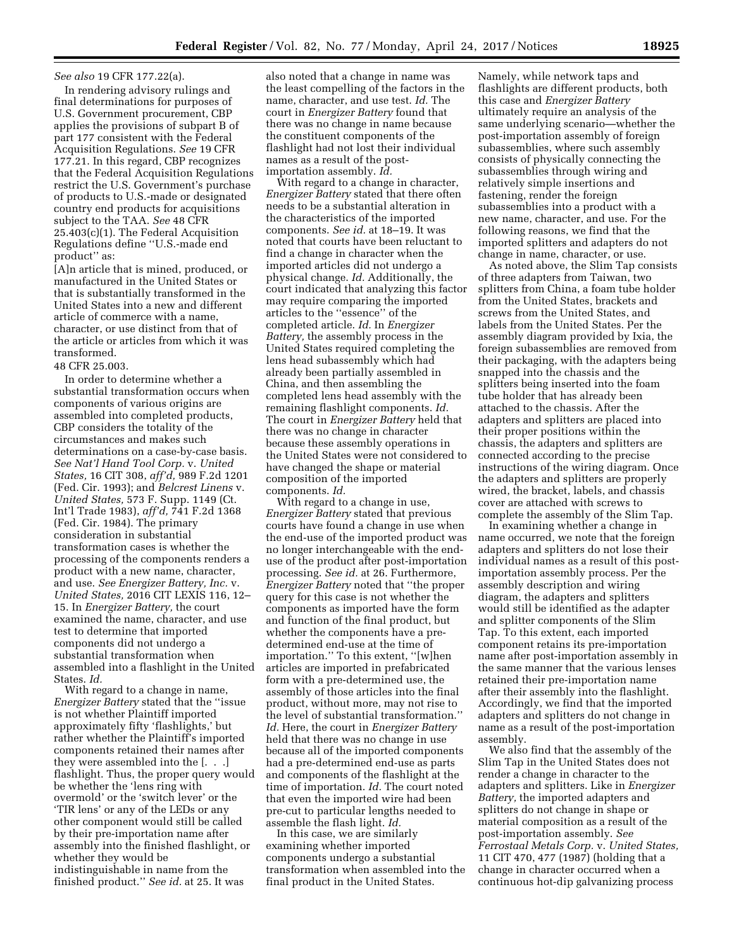# *See also* 19 CFR 177.22(a).

In rendering advisory rulings and final determinations for purposes of U.S. Government procurement, CBP applies the provisions of subpart B of part 177 consistent with the Federal Acquisition Regulations. *See* 19 CFR 177.21. In this regard, CBP recognizes that the Federal Acquisition Regulations restrict the U.S. Government's purchase of products to U.S.-made or designated country end products for acquisitions subject to the TAA. *See* 48 CFR 25.403(c)(1). The Federal Acquisition Regulations define ''U.S.-made end product'' as:

[A]n article that is mined, produced, or manufactured in the United States or that is substantially transformed in the United States into a new and different article of commerce with a name, character, or use distinct from that of the article or articles from which it was transformed.

### 48 CFR 25.003.

In order to determine whether a substantial transformation occurs when components of various origins are assembled into completed products, CBP considers the totality of the circumstances and makes such determinations on a case-by-case basis. *See Nat'l Hand Tool Corp.* v. *United States,* 16 CIT 308, *aff'd,* 989 F.2d 1201 (Fed. Cir. 1993); and *Belcrest Linens* v. *United States,* 573 F. Supp. 1149 (Ct. Int'l Trade 1983), *aff'd,* 741 F.2d 1368 (Fed. Cir. 1984). The primary consideration in substantial transformation cases is whether the processing of the components renders a product with a new name, character, and use. *See Energizer Battery, Inc.* v. *United States,* 2016 CIT LEXIS 116, 12– 15. In *Energizer Battery,* the court examined the name, character, and use test to determine that imported components did not undergo a substantial transformation when assembled into a flashlight in the United States. *Id.* 

With regard to a change in name, *Energizer Battery* stated that the ''issue is not whether Plaintiff imported approximately fifty 'flashlights,' but rather whether the Plaintiff's imported components retained their names after they were assembled into the [. . .] flashlight. Thus, the proper query would be whether the 'lens ring with overmold' or the 'switch lever' or the 'TIR lens' or any of the LEDs or any other component would still be called by their pre-importation name after assembly into the finished flashlight, or whether they would be indistinguishable in name from the finished product.'' *See id.* at 25. It was

also noted that a change in name was the least compelling of the factors in the name, character, and use test. *Id.* The court in *Energizer Battery* found that there was no change in name because the constituent components of the flashlight had not lost their individual names as a result of the postimportation assembly. *Id.* 

With regard to a change in character, *Energizer Battery* stated that there often needs to be a substantial alteration in the characteristics of the imported components. *See id.* at 18–19. It was noted that courts have been reluctant to find a change in character when the imported articles did not undergo a physical change. *Id.* Additionally, the court indicated that analyzing this factor may require comparing the imported articles to the ''essence'' of the completed article. *Id.* In *Energizer Battery,* the assembly process in the United States required completing the lens head subassembly which had already been partially assembled in China, and then assembling the completed lens head assembly with the remaining flashlight components. *Id.*  The court in *Energizer Battery* held that there was no change in character because these assembly operations in the United States were not considered to have changed the shape or material composition of the imported components. *Id.* 

With regard to a change in use, *Energizer Battery* stated that previous courts have found a change in use when the end-use of the imported product was no longer interchangeable with the enduse of the product after post-importation processing. *See id.* at 26. Furthermore, *Energizer Battery* noted that ''the proper query for this case is not whether the components as imported have the form and function of the final product, but whether the components have a predetermined end-use at the time of importation.'' To this extent, ''[w]hen articles are imported in prefabricated form with a pre-determined use, the assembly of those articles into the final product, without more, may not rise to the level of substantial transformation.'' *Id.* Here, the court in *Energizer Battery*  held that there was no change in use because all of the imported components had a pre-determined end-use as parts and components of the flashlight at the time of importation. *Id.* The court noted that even the imported wire had been pre-cut to particular lengths needed to assemble the flash light. *Id.* 

In this case, we are similarly examining whether imported components undergo a substantial transformation when assembled into the final product in the United States.

Namely, while network taps and flashlights are different products, both this case and *Energizer Battery*  ultimately require an analysis of the same underlying scenario—whether the post-importation assembly of foreign subassemblies, where such assembly consists of physically connecting the subassemblies through wiring and relatively simple insertions and fastening, render the foreign subassemblies into a product with a new name, character, and use. For the following reasons, we find that the imported splitters and adapters do not change in name, character, or use.

As noted above, the Slim Tap consists of three adapters from Taiwan, two splitters from China, a foam tube holder from the United States, brackets and screws from the United States, and labels from the United States. Per the assembly diagram provided by Ixia, the foreign subassemblies are removed from their packaging, with the adapters being snapped into the chassis and the splitters being inserted into the foam tube holder that has already been attached to the chassis. After the adapters and splitters are placed into their proper positions within the chassis, the adapters and splitters are connected according to the precise instructions of the wiring diagram. Once the adapters and splitters are properly wired, the bracket, labels, and chassis cover are attached with screws to complete the assembly of the Slim Tap.

In examining whether a change in name occurred, we note that the foreign adapters and splitters do not lose their individual names as a result of this postimportation assembly process. Per the assembly description and wiring diagram, the adapters and splitters would still be identified as the adapter and splitter components of the Slim Tap. To this extent, each imported component retains its pre-importation name after post-importation assembly in the same manner that the various lenses retained their pre-importation name after their assembly into the flashlight. Accordingly, we find that the imported adapters and splitters do not change in name as a result of the post-importation assembly.

We also find that the assembly of the Slim Tap in the United States does not render a change in character to the adapters and splitters. Like in *Energizer Battery,* the imported adapters and splitters do not change in shape or material composition as a result of the post-importation assembly. *See Ferrostaal Metals Corp.* v. *United States,*  11 CIT 470, 477 (1987) (holding that a change in character occurred when a continuous hot-dip galvanizing process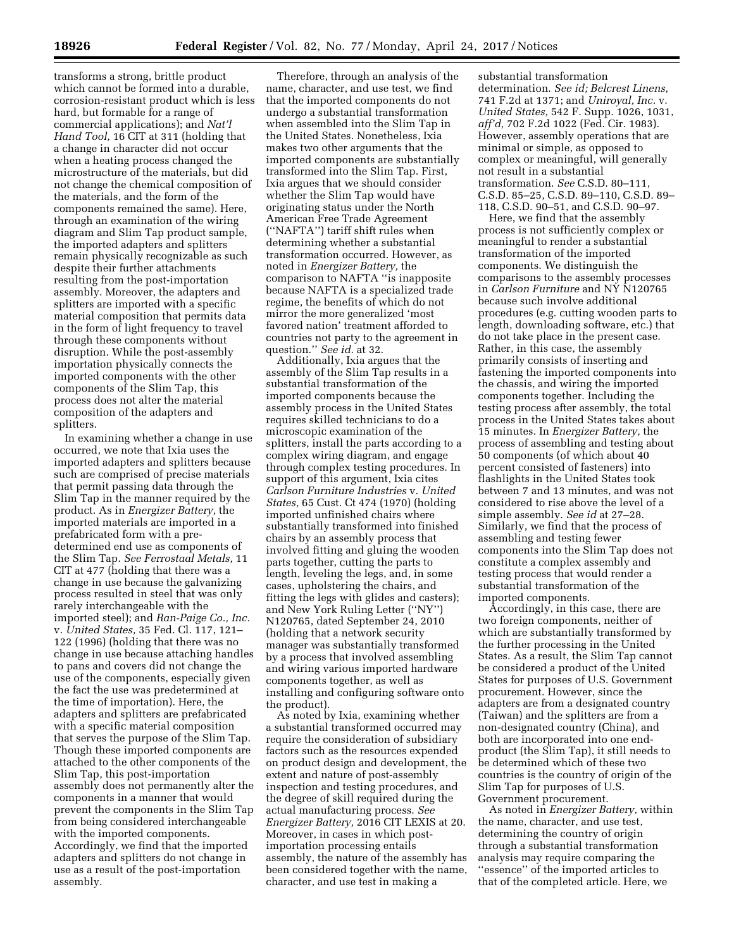transforms a strong, brittle product which cannot be formed into a durable, corrosion-resistant product which is less hard, but formable for a range of commercial applications); and *Nat'l Hand Tool,* 16 CIT at 311 (holding that a change in character did not occur when a heating process changed the microstructure of the materials, but did not change the chemical composition of the materials, and the form of the components remained the same). Here, through an examination of the wiring diagram and Slim Tap product sample, the imported adapters and splitters remain physically recognizable as such despite their further attachments resulting from the post-importation assembly. Moreover, the adapters and splitters are imported with a specific material composition that permits data in the form of light frequency to travel through these components without disruption. While the post-assembly importation physically connects the imported components with the other components of the Slim Tap, this process does not alter the material composition of the adapters and splitters.

In examining whether a change in use occurred, we note that Ixia uses the imported adapters and splitters because such are comprised of precise materials that permit passing data through the Slim Tap in the manner required by the product. As in *Energizer Battery,* the imported materials are imported in a prefabricated form with a predetermined end use as components of the Slim Tap. *See Ferrostaal Metals,* 11 CIT at 477 (holding that there was a change in use because the galvanizing process resulted in steel that was only rarely interchangeable with the imported steel); and *Ran-Paige Co., Inc.*  v. *United States,* 35 Fed. Cl. 117, 121– 122 (1996) (holding that there was no change in use because attaching handles to pans and covers did not change the use of the components, especially given the fact the use was predetermined at the time of importation). Here, the adapters and splitters are prefabricated with a specific material composition that serves the purpose of the Slim Tap. Though these imported components are attached to the other components of the Slim Tap, this post-importation assembly does not permanently alter the components in a manner that would prevent the components in the Slim Tap from being considered interchangeable with the imported components. Accordingly, we find that the imported adapters and splitters do not change in use as a result of the post-importation assembly.

Therefore, through an analysis of the name, character, and use test, we find that the imported components do not undergo a substantial transformation when assembled into the Slim Tap in the United States. Nonetheless, Ixia makes two other arguments that the imported components are substantially transformed into the Slim Tap. First, Ixia argues that we should consider whether the Slim Tap would have originating status under the North American Free Trade Agreement (''NAFTA'') tariff shift rules when determining whether a substantial transformation occurred. However, as noted in *Energizer Battery,* the comparison to NAFTA ''is inapposite because NAFTA is a specialized trade regime, the benefits of which do not mirror the more generalized 'most favored nation' treatment afforded to countries not party to the agreement in question.'' *See id.* at 32.

Additionally, Ixia argues that the assembly of the Slim Tap results in a substantial transformation of the imported components because the assembly process in the United States requires skilled technicians to do a microscopic examination of the splitters, install the parts according to a complex wiring diagram, and engage through complex testing procedures. In support of this argument, Ixia cites *Carlson Furniture Industries* v. *United States,* 65 Cust. Ct 474 (1970) (holding imported unfinished chairs where substantially transformed into finished chairs by an assembly process that involved fitting and gluing the wooden parts together, cutting the parts to length, leveling the legs, and, in some cases, upholstering the chairs, and fitting the legs with glides and casters); and New York Ruling Letter (''NY'') N120765, dated September 24, 2010 (holding that a network security manager was substantially transformed by a process that involved assembling and wiring various imported hardware components together, as well as installing and configuring software onto the product).

As noted by Ixia, examining whether a substantial transformed occurred may require the consideration of subsidiary factors such as the resources expended on product design and development, the extent and nature of post-assembly inspection and testing procedures, and the degree of skill required during the actual manufacturing process. *See Energizer Battery,* 2016 CIT LEXIS at 20. Moreover, in cases in which postimportation processing entails assembly, the nature of the assembly has been considered together with the name, character, and use test in making a

substantial transformation determination. *See id; Belcrest Linens,*  741 F.2d at 1371; and *Uniroyal, Inc.* v. *United States,* 542 F. Supp. 1026, 1031, *aff'd,* 702 F.2d 1022 (Fed. Cir. 1983). However, assembly operations that are minimal or simple, as opposed to complex or meaningful, will generally not result in a substantial transformation. *See* C.S.D. 80–111, C.S.D. 85–25, C.S.D. 89–110, C.S.D. 89– 118, C.S.D. 90–51, and C.S.D. 90–97.

Here, we find that the assembly process is not sufficiently complex or meaningful to render a substantial transformation of the imported components. We distinguish the comparisons to the assembly processes in *Carlson Furniture* and NY N120765 because such involve additional procedures (e.g. cutting wooden parts to length, downloading software, etc.) that do not take place in the present case. Rather, in this case, the assembly primarily consists of inserting and fastening the imported components into the chassis, and wiring the imported components together. Including the testing process after assembly, the total process in the United States takes about 15 minutes. In *Energizer Battery,* the process of assembling and testing about 50 components (of which about 40 percent consisted of fasteners) into flashlights in the United States took between 7 and 13 minutes, and was not considered to rise above the level of a simple assembly. *See id* at 27–28. Similarly, we find that the process of assembling and testing fewer components into the Slim Tap does not constitute a complex assembly and testing process that would render a substantial transformation of the imported components.

Accordingly, in this case, there are two foreign components, neither of which are substantially transformed by the further processing in the United States. As a result, the Slim Tap cannot be considered a product of the United States for purposes of U.S. Government procurement. However, since the adapters are from a designated country (Taiwan) and the splitters are from a non-designated country (China), and both are incorporated into one endproduct (the Slim Tap), it still needs to be determined which of these two countries is the country of origin of the Slim Tap for purposes of U.S. Government procurement.

As noted in *Energizer Battery,* within the name, character, and use test, determining the country of origin through a substantial transformation analysis may require comparing the ''essence'' of the imported articles to that of the completed article. Here, we